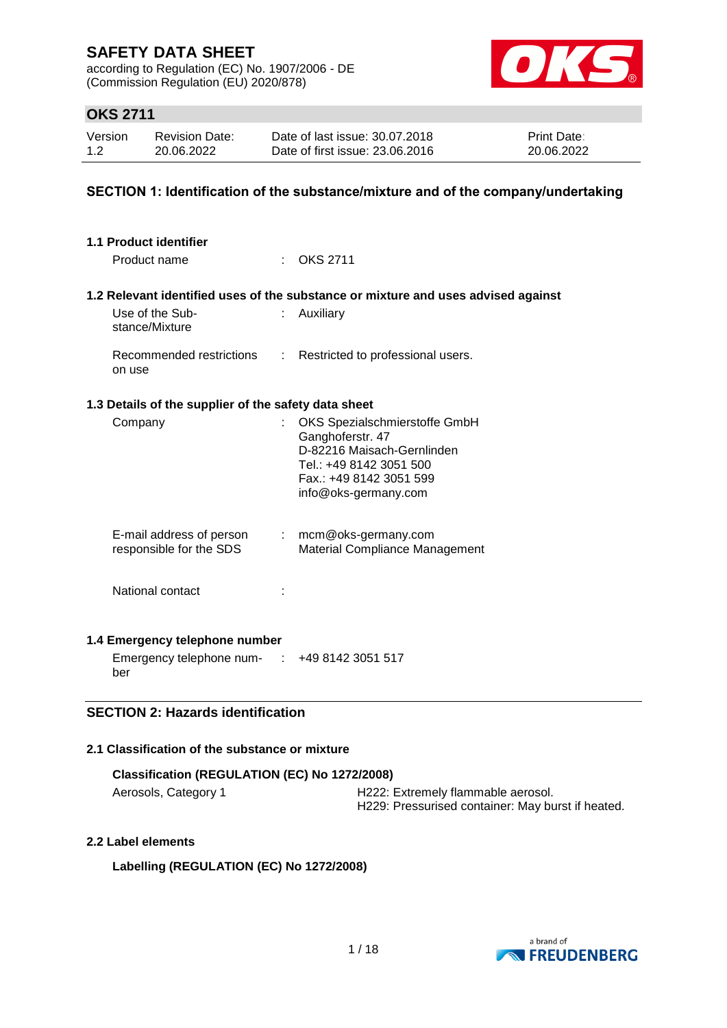according to Regulation (EC) No. 1907/2006 - DE (Commission Regulation (EU) 2020/878)



# **OKS 2711**

| Version | <b>Revision Date:</b> | Date of last issue: 30.07.2018  | <b>Print Date:</b> |
|---------|-----------------------|---------------------------------|--------------------|
| 1.2     | 20.06.2022            | Date of first issue: 23,06,2016 | 20.06.2022         |

### **SECTION 1: Identification of the substance/mixture and of the company/undertaking**

| 1.1 Product identifier                               |    |                                                                                                                                                               |
|------------------------------------------------------|----|---------------------------------------------------------------------------------------------------------------------------------------------------------------|
| Product name                                         |    | <b>OKS 2711</b>                                                                                                                                               |
|                                                      |    | 1.2 Relevant identified uses of the substance or mixture and uses advised against                                                                             |
| Use of the Sub-<br>stance/Mixture                    |    | Auxiliary                                                                                                                                                     |
| Recommended restrictions<br>on use                   | ÷. | Restricted to professional users.                                                                                                                             |
| 1.3 Details of the supplier of the safety data sheet |    |                                                                                                                                                               |
| Company                                              | t. | OKS Spezialschmierstoffe GmbH<br>Ganghoferstr. 47<br>D-82216 Maisach-Gernlinden<br>Tel.: +49 8142 3051 500<br>Fax.: +49 8142 3051 599<br>info@oks-germany.com |
| E-mail address of person<br>responsible for the SDS  |    | $:$ mcm@oks-germany.com<br><b>Material Compliance Management</b>                                                                                              |
| National contact                                     |    |                                                                                                                                                               |
| 1.4 Emergency telephone number                       |    |                                                                                                                                                               |
| Emergency telephone num- $\cdot$ +49 8142 3051 517   |    |                                                                                                                                                               |

ber

### **SECTION 2: Hazards identification**

### **2.1 Classification of the substance or mixture**

| Classification (REGULATION (EC) No 1272/2008) |                                                                                         |  |  |
|-----------------------------------------------|-----------------------------------------------------------------------------------------|--|--|
| Aerosols, Category 1                          | H222: Extremely flammable aerosol.<br>H229: Pressurised container: May burst if heated. |  |  |

### **2.2 Label elements**

**Labelling (REGULATION (EC) No 1272/2008)**

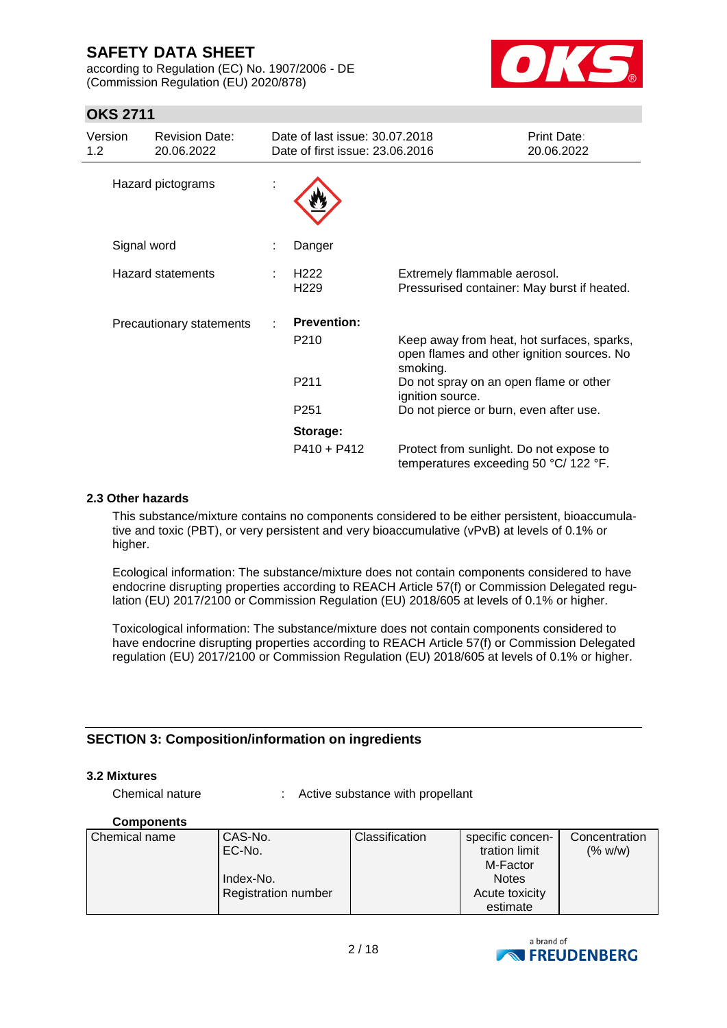according to Regulation (EC) No. 1907/2006 - DE (Commission Regulation (EU) 2020/878)



# **OKS 2711**

| Version<br>1.2 <sub>1</sub> | <b>Revision Date:</b><br>20.06.2022 | Date of last issue: 30.07.2018<br>Date of first issue: 23,06,2016 |                                                                                                      | <b>Print Date:</b><br>20.06.2022 |
|-----------------------------|-------------------------------------|-------------------------------------------------------------------|------------------------------------------------------------------------------------------------------|----------------------------------|
|                             | Hazard pictograms                   |                                                                   |                                                                                                      |                                  |
|                             | Signal word                         | Danger                                                            |                                                                                                      |                                  |
|                             | <b>Hazard statements</b>            | H <sub>222</sub><br>H <sub>229</sub>                              | Extremely flammable aerosol.<br>Pressurised container: May burst if heated.                          |                                  |
|                             | Precautionary statements            | <b>Prevention:</b>                                                |                                                                                                      |                                  |
|                             |                                     | P <sub>210</sub>                                                  | Keep away from heat, hot surfaces, sparks,<br>open flames and other ignition sources. No<br>smoking. |                                  |
|                             |                                     | P <sub>211</sub>                                                  | Do not spray on an open flame or other<br>ignition source.                                           |                                  |
|                             |                                     | P <sub>251</sub>                                                  | Do not pierce or burn, even after use.                                                               |                                  |
|                             |                                     | Storage:                                                          |                                                                                                      |                                  |
|                             |                                     | $P410 + P412$                                                     | Protect from sunlight. Do not expose to<br>temperatures exceeding 50 °C/ 122 °F.                     |                                  |

#### **2.3 Other hazards**

This substance/mixture contains no components considered to be either persistent, bioaccumulative and toxic (PBT), or very persistent and very bioaccumulative (vPvB) at levels of 0.1% or higher.

Ecological information: The substance/mixture does not contain components considered to have endocrine disrupting properties according to REACH Article 57(f) or Commission Delegated regulation (EU) 2017/2100 or Commission Regulation (EU) 2018/605 at levels of 0.1% or higher.

Toxicological information: The substance/mixture does not contain components considered to have endocrine disrupting properties according to REACH Article 57(f) or Commission Delegated regulation (EU) 2017/2100 or Commission Regulation (EU) 2018/605 at levels of 0.1% or higher.

### **SECTION 3: Composition/information on ingredients**

#### **3.2 Mixtures**

Chemical nature : Active substance with propellant

#### **Components**

| Chemical name | CAS-No.                    | Classification | specific concen- | Concentration |
|---------------|----------------------------|----------------|------------------|---------------|
|               | EC-No.                     |                | tration limit    | (% w/w)       |
|               |                            |                | M-Factor         |               |
|               | Index-No.                  |                | <b>Notes</b>     |               |
|               | <b>Registration number</b> |                | Acute toxicity   |               |
|               |                            |                | estimate         |               |

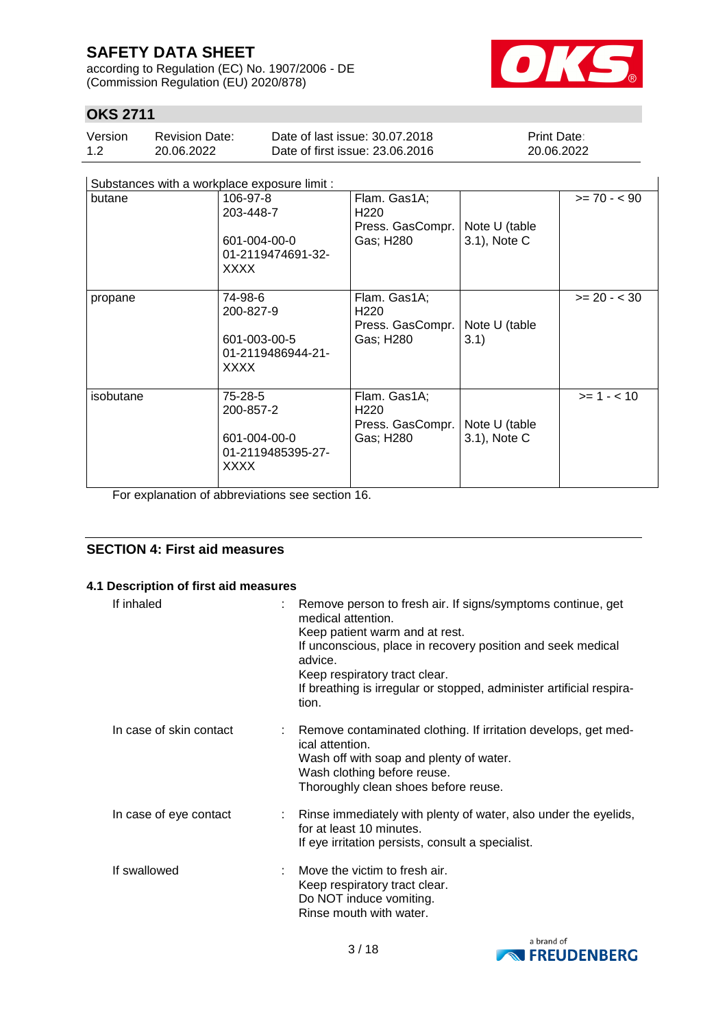according to Regulation (EC) No. 1907/2006 - DE (Commission Regulation (EU) 2020/878)



# **OKS 2711**

| Version | <b>Revision Date:</b> | Date of last issue: 30.07.2018  | <b>Print Date:</b> |
|---------|-----------------------|---------------------------------|--------------------|
| 1.2     | 20.06.2022            | Date of first issue: 23,06,2016 | 20.06.2022         |

| Substances with a workplace exposure limit : |  |  |  |
|----------------------------------------------|--|--|--|
|                                              |  |  |  |

| Substances with a workplace exposure limit : |                                                                          |                                                                   |                               |                |
|----------------------------------------------|--------------------------------------------------------------------------|-------------------------------------------------------------------|-------------------------------|----------------|
| butane                                       | 106-97-8<br>203-448-7<br>601-004-00-0<br>01-2119474691-32-<br>XXXX       | Flam. Gas1A;<br>H <sub>220</sub><br>Press. GasCompr.<br>Gas; H280 | Note U (table<br>3.1), Note C | $>= 70 - 90$   |
| propane                                      | 74-98-6<br>200-827-9<br>601-003-00-5<br>01-2119486944-21-<br><b>XXXX</b> | Flam. Gas1A;<br>H <sub>220</sub><br>Press. GasCompr.<br>Gas; H280 | Note U (table<br>3.1)         | $>= 20 - < 30$ |
| isobutane                                    | 75-28-5<br>200-857-2<br>601-004-00-0<br>01-2119485395-27-<br>XXXX        | Flam. Gas1A;<br>H <sub>220</sub><br>Press. GasCompr.<br>Gas; H280 | Note U (table<br>3.1), Note C | $>= 1 - < 10$  |

For explanation of abbreviations see section 16.

### **SECTION 4: First aid measures**

#### **4.1 Description of first aid measures**

| If inhaled              | : Remove person to fresh air. If signs/symptoms continue, get<br>medical attention.<br>Keep patient warm and at rest.<br>If unconscious, place in recovery position and seek medical<br>advice.<br>Keep respiratory tract clear.<br>If breathing is irregular or stopped, administer artificial respira-<br>tion. |
|-------------------------|-------------------------------------------------------------------------------------------------------------------------------------------------------------------------------------------------------------------------------------------------------------------------------------------------------------------|
| In case of skin contact | : Remove contaminated clothing. If irritation develops, get med-<br>ical attention.<br>Wash off with soap and plenty of water.<br>Wash clothing before reuse.<br>Thoroughly clean shoes before reuse.                                                                                                             |
| In case of eye contact  | : Rinse immediately with plenty of water, also under the eyelids,<br>for at least 10 minutes.<br>If eye irritation persists, consult a specialist.                                                                                                                                                                |
| If swallowed            | Move the victim to fresh air.<br>Keep respiratory tract clear.<br>Do NOT induce vomiting.<br>Rinse mouth with water.                                                                                                                                                                                              |

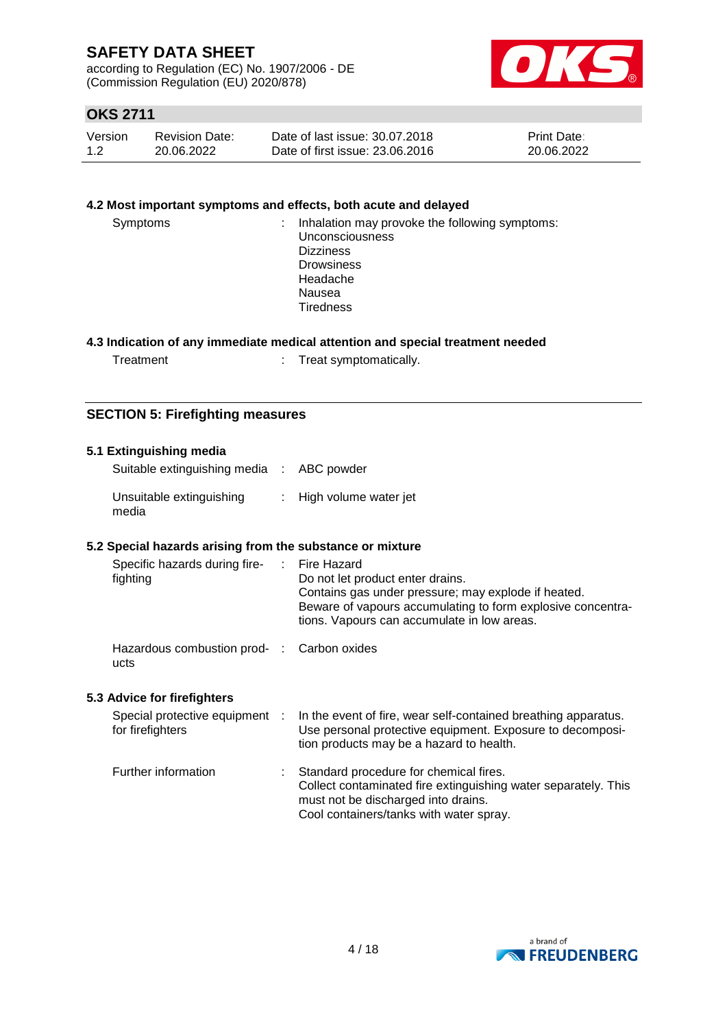according to Regulation (EC) No. 1907/2006 - DE (Commission Regulation (EU) 2020/878)



# **OKS 2711**

| Version | <b>Revision Date:</b> | Date of last issue: 30.07.2018  | <b>Print Date:</b> |
|---------|-----------------------|---------------------------------|--------------------|
| 1.2     | 20.06.2022            | Date of first issue: 23,06,2016 | 20.06.2022         |

#### **4.2 Most important symptoms and effects, both acute and delayed**

| Symptoms | : Inhalation may provoke the following symptoms: |
|----------|--------------------------------------------------|
|          | <b>Unconsciousness</b>                           |
|          | <b>Dizziness</b>                                 |
|          | <b>Drowsiness</b>                                |
|          | Headache                                         |
|          | Nausea                                           |
|          | <b>Tiredness</b>                                 |
|          |                                                  |

#### **4.3 Indication of any immediate medical attention and special treatment needed**

| Treatment |  |
|-----------|--|
|           |  |

reat symptomatically.

### **SECTION 5: Firefighting measures**

#### **5.1 Extinguishing media**

| Suitable extinguishing media : ABC powder |                         |
|-------------------------------------------|-------------------------|
| Unsuitable extinguishing<br>media         | : High volume water jet |

#### **5.2 Special hazards arising from the substance or mixture**

| Specific hazards during fire-<br>fighting          | : Fire Hazard<br>Do not let product enter drains.<br>Contains gas under pressure; may explode if heated.<br>Beware of vapours accumulating to form explosive concentra-<br>tions. Vapours can accumulate in low areas. |
|----------------------------------------------------|------------------------------------------------------------------------------------------------------------------------------------------------------------------------------------------------------------------------|
| Hazardous combustion prod- : Carbon oxides<br>ucts |                                                                                                                                                                                                                        |

#### **5.3 Advice for firefighters**

| Special protective equipment<br>for firefighters | In the event of fire, wear self-contained breathing apparatus.<br>Use personal protective equipment. Exposure to decomposi-<br>tion products may be a hazard to health.                    |
|--------------------------------------------------|--------------------------------------------------------------------------------------------------------------------------------------------------------------------------------------------|
| Further information                              | Standard procedure for chemical fires.<br>Collect contaminated fire extinguishing water separately. This<br>must not be discharged into drains.<br>Cool containers/tanks with water spray. |

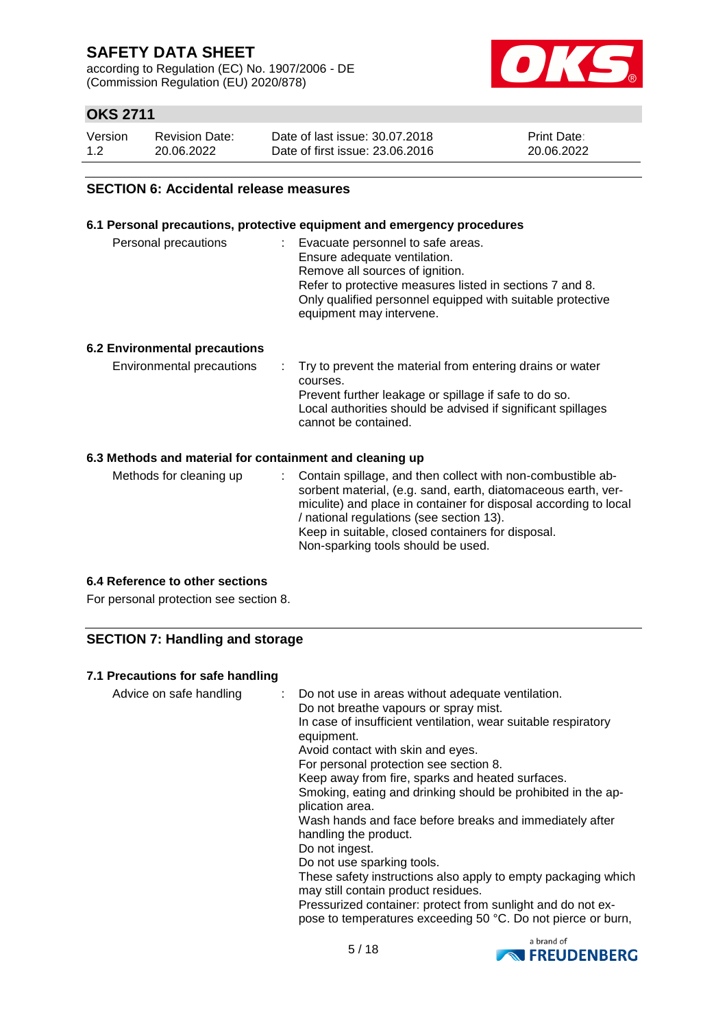according to Regulation (EC) No. 1907/2006 - DE (Commission Regulation (EU) 2020/878)



# **OKS 2711**

| Version | <b>Revision Date:</b> | Date of last issue: 30.07.2018  | <b>Print Date:</b> |
|---------|-----------------------|---------------------------------|--------------------|
| 1.2     | 20.06.2022            | Date of first issue: 23.06.2016 | 20.06.2022         |

#### **SECTION 6: Accidental release measures**

#### **6.1 Personal precautions, protective equipment and emergency procedures**

| Personal precautions | Evacuate personnel to safe areas.<br>Ensure adequate ventilation.<br>Remove all sources of ignition.<br>Refer to protective measures listed in sections 7 and 8.<br>Only qualified personnel equipped with suitable protective<br>equipment may intervene. |
|----------------------|------------------------------------------------------------------------------------------------------------------------------------------------------------------------------------------------------------------------------------------------------------|
|                      |                                                                                                                                                                                                                                                            |

#### **6.2 Environmental precautions**

#### **6.3 Methods and material for containment and cleaning up**

| Methods for cleaning up | : Contain spillage, and then collect with non-combustible ab-<br>sorbent material, (e.g. sand, earth, diatomaceous earth, ver-<br>miculite) and place in container for disposal according to local<br>/ national regulations (see section 13).<br>Keep in suitable, closed containers for disposal.<br>Non-sparking tools should be used. |
|-------------------------|-------------------------------------------------------------------------------------------------------------------------------------------------------------------------------------------------------------------------------------------------------------------------------------------------------------------------------------------|
|-------------------------|-------------------------------------------------------------------------------------------------------------------------------------------------------------------------------------------------------------------------------------------------------------------------------------------------------------------------------------------|

### **6.4 Reference to other sections**

For personal protection see section 8.

### **SECTION 7: Handling and storage**

#### **7.1 Precautions for safe handling**

| Advice on safe handling<br>Do not breathe vapours or spray mist.<br>equipment.<br>Avoid contact with skin and eyes.<br>For personal protection see section 8.<br>plication area.<br>handling the product.<br>Do not ingest.<br>Do not use sparking tools.<br>may still contain product residues.<br>Pressurized container: protect from sunlight and do not ex-<br>pose to temperatures exceeding 50 °C. Do not pierce or burn, | : Do not use in areas without adequate ventilation.<br>In case of insufficient ventilation, wear suitable respiratory<br>Keep away from fire, sparks and heated surfaces.<br>Smoking, eating and drinking should be prohibited in the ap-<br>Wash hands and face before breaks and immediately after<br>These safety instructions also apply to empty packaging which |
|---------------------------------------------------------------------------------------------------------------------------------------------------------------------------------------------------------------------------------------------------------------------------------------------------------------------------------------------------------------------------------------------------------------------------------|-----------------------------------------------------------------------------------------------------------------------------------------------------------------------------------------------------------------------------------------------------------------------------------------------------------------------------------------------------------------------|
|---------------------------------------------------------------------------------------------------------------------------------------------------------------------------------------------------------------------------------------------------------------------------------------------------------------------------------------------------------------------------------------------------------------------------------|-----------------------------------------------------------------------------------------------------------------------------------------------------------------------------------------------------------------------------------------------------------------------------------------------------------------------------------------------------------------------|

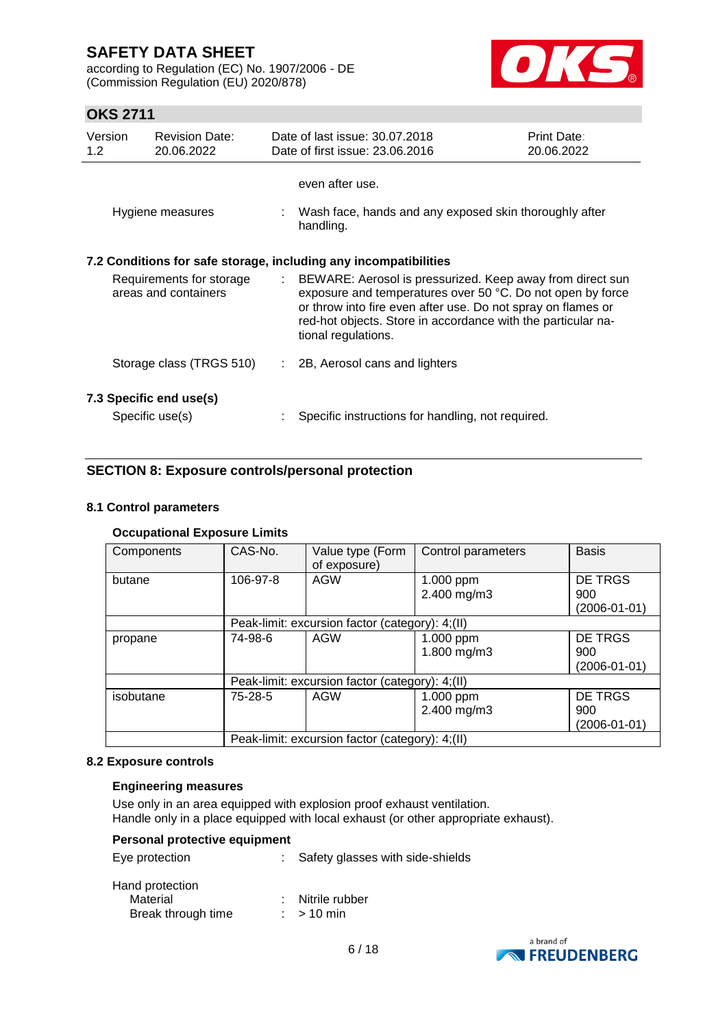according to Regulation (EC) No. 1907/2006 - DE (Commission Regulation (EU) 2020/878)



# **OKS 2711**

| Version<br>1.2 | <b>Revision Date:</b><br>20.06.2022                              |  | Date of last issue: 30.07.2018<br>Date of first issue: 23.06.2016                                                                                                                                                                                                                | <b>Print Date:</b><br>20.06.2022 |  |  |
|----------------|------------------------------------------------------------------|--|----------------------------------------------------------------------------------------------------------------------------------------------------------------------------------------------------------------------------------------------------------------------------------|----------------------------------|--|--|
|                |                                                                  |  | even after use.                                                                                                                                                                                                                                                                  |                                  |  |  |
|                | Hygiene measures                                                 |  | : Wash face, hands and any exposed skin thoroughly after<br>handling.                                                                                                                                                                                                            |                                  |  |  |
|                | 7.2 Conditions for safe storage, including any incompatibilities |  |                                                                                                                                                                                                                                                                                  |                                  |  |  |
|                | Requirements for storage<br>areas and containers                 |  | : BEWARE: Aerosol is pressurized. Keep away from direct sun<br>exposure and temperatures over 50 °C. Do not open by force<br>or throw into fire even after use. Do not spray on flames or<br>red-hot objects. Store in accordance with the particular na-<br>tional regulations. |                                  |  |  |
|                | Storage class (TRGS 510)                                         |  | 2B, Aerosol cans and lighters                                                                                                                                                                                                                                                    |                                  |  |  |
|                | 7.3 Specific end use(s)                                          |  |                                                                                                                                                                                                                                                                                  |                                  |  |  |
|                | Specific use(s)                                                  |  | Specific instructions for handling, not required.                                                                                                                                                                                                                                |                                  |  |  |

# **SECTION 8: Exposure controls/personal protection**

### **8.1 Control parameters**

### **Occupational Exposure Limits**

| Components | CAS-No.                                         | Value type (Form                                | Control parameters | <b>Basis</b>       |  |
|------------|-------------------------------------------------|-------------------------------------------------|--------------------|--------------------|--|
|            |                                                 | of exposure)                                    |                    |                    |  |
| butane     | 106-97-8                                        | <b>AGW</b>                                      | 1.000 ppm          | <b>DE TRGS</b>     |  |
|            |                                                 |                                                 | 2.400 mg/m3        | 900                |  |
|            |                                                 |                                                 |                    | $(2006 - 01 - 01)$ |  |
|            |                                                 | Peak-limit: excursion factor (category): 4;(II) |                    |                    |  |
| propane    | 74-98-6                                         | AGW                                             | 1.000 ppm          | DE TRGS            |  |
|            |                                                 |                                                 | 1.800 mg/m3        | 900                |  |
|            |                                                 |                                                 |                    | $(2006 - 01 - 01)$ |  |
|            | Peak-limit: excursion factor (category): 4;(II) |                                                 |                    |                    |  |
| isobutane  | 75-28-5                                         | <b>AGW</b>                                      | 1.000 ppm          | DE TRGS            |  |
|            |                                                 |                                                 | 2.400 mg/m3        | 900                |  |
|            |                                                 |                                                 |                    | (2006-01-01)       |  |
|            | Peak-limit: excursion factor (category): 4;(II) |                                                 |                    |                    |  |

#### **8.2 Exposure controls**

#### **Engineering measures**

Use only in an area equipped with explosion proof exhaust ventilation. Handle only in a place equipped with local exhaust (or other appropriate exhaust).

| <b>Personal protective equipment</b> |                                  |
|--------------------------------------|----------------------------------|
| Eye protection                       | Safety glasses with side-shields |
| Hand protection                      |                                  |
| Material                             | Nitrile rubber                   |
| Break through time                   | $:$ > 10 min                     |

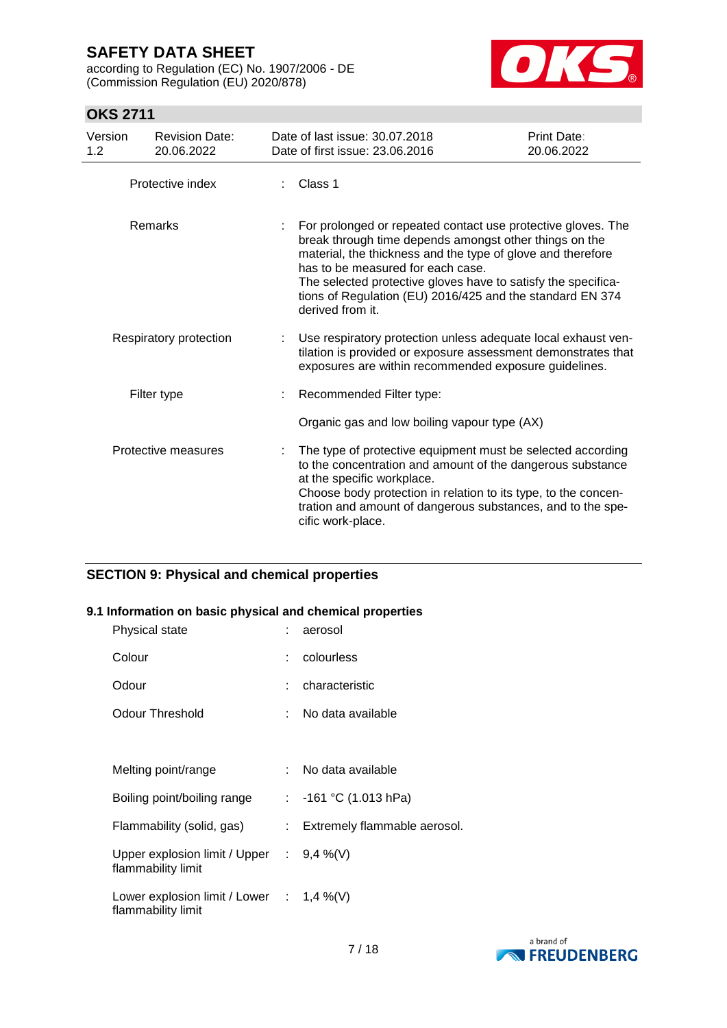according to Regulation (EC) No. 1907/2006 - DE (Commission Regulation (EU) 2020/878)



# **OKS 2711**

| Version<br>1.2 | <b>Revision Date:</b><br>20.06.2022 | Date of last issue: 30.07.2018<br>Date of first issue: 23.06.2016                                                                                                                                                                                                                                                                                                            | Print Date:<br>20.06.2022 |
|----------------|-------------------------------------|------------------------------------------------------------------------------------------------------------------------------------------------------------------------------------------------------------------------------------------------------------------------------------------------------------------------------------------------------------------------------|---------------------------|
|                | Protective index                    | Class 1                                                                                                                                                                                                                                                                                                                                                                      |                           |
|                | Remarks                             | For prolonged or repeated contact use protective gloves. The<br>break through time depends amongst other things on the<br>material, the thickness and the type of glove and therefore<br>has to be measured for each case.<br>The selected protective gloves have to satisfy the specifica-<br>tions of Regulation (EU) 2016/425 and the standard EN 374<br>derived from it. |                           |
|                | Respiratory protection              | Use respiratory protection unless adequate local exhaust ven-<br>tilation is provided or exposure assessment demonstrates that<br>exposures are within recommended exposure guidelines.                                                                                                                                                                                      |                           |
|                | Filter type                         | Recommended Filter type:                                                                                                                                                                                                                                                                                                                                                     |                           |
|                |                                     | Organic gas and low boiling vapour type (AX)                                                                                                                                                                                                                                                                                                                                 |                           |
|                | Protective measures                 | The type of protective equipment must be selected according<br>to the concentration and amount of the dangerous substance<br>at the specific workplace.<br>Choose body protection in relation to its type, to the concen-<br>tration and amount of dangerous substances, and to the spe-<br>cific work-place.                                                                |                           |

# **SECTION 9: Physical and chemical properties**

### **9.1 Information on basic physical and chemical properties**

| Physical state                                                    | : aerosol                      |
|-------------------------------------------------------------------|--------------------------------|
| Colour                                                            | : colourless                   |
| Odour                                                             | characteristic                 |
| <b>Odour Threshold</b>                                            | : No data available            |
|                                                                   |                                |
| Melting point/range                                               | : No data available            |
| Boiling point/boiling range                                       | : $-161$ °C (1.013 hPa)        |
| Flammability (solid, gas)                                         | : Extremely flammable aerosol. |
| Upper explosion limit / Upper : $9,4\%$ (V)<br>flammability limit |                                |
| Lower explosion limit / Lower : $1,4\%$ (V)<br>flammability limit |                                |

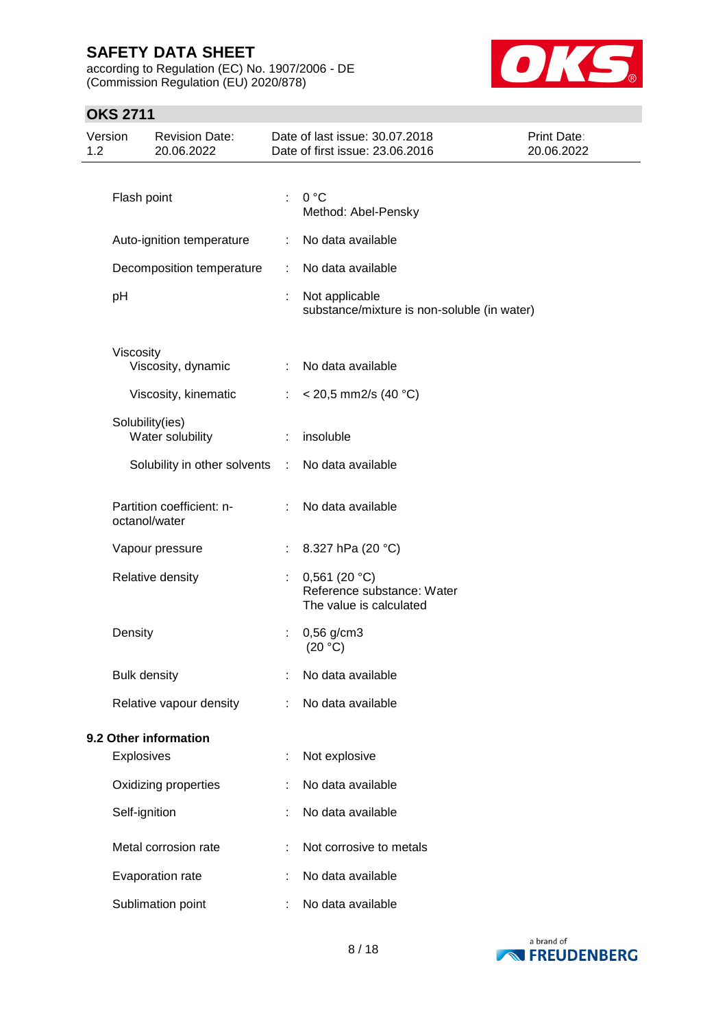according to Regulation (EC) No. 1907/2006 - DE (Commission Regulation (EU) 2020/878)



# **OKS 2711**

| Version<br>1.2 |                     | <b>Revision Date:</b><br>20.06.2022        |                             | Date of last issue: 30.07.2018<br>Date of first issue: 23.06.2016         | <b>Print Date:</b><br>20.06.2022 |
|----------------|---------------------|--------------------------------------------|-----------------------------|---------------------------------------------------------------------------|----------------------------------|
|                |                     |                                            |                             |                                                                           |                                  |
|                | Flash point         |                                            | ÷                           | 0 °C<br>Method: Abel-Pensky                                               |                                  |
|                |                     | Auto-ignition temperature                  | ÷                           | No data available                                                         |                                  |
|                |                     | Decomposition temperature                  | ÷                           | No data available                                                         |                                  |
|                | pH                  |                                            | ÷                           | Not applicable<br>substance/mixture is non-soluble (in water)             |                                  |
|                | Viscosity           |                                            |                             |                                                                           |                                  |
|                |                     | Viscosity, dynamic                         |                             | : No data available                                                       |                                  |
|                |                     | Viscosity, kinematic                       | ÷                           | $<$ 20,5 mm2/s (40 °C)                                                    |                                  |
|                |                     | Solubility(ies)<br>Water solubility        | ÷                           | insoluble                                                                 |                                  |
|                |                     | Solubility in other solvents               | $\mathcal{I}^{\mathcal{I}}$ | No data available                                                         |                                  |
|                |                     | Partition coefficient: n-<br>octanol/water |                             | No data available                                                         |                                  |
|                |                     | Vapour pressure                            | ÷                           | 8.327 hPa (20 °C)                                                         |                                  |
|                |                     | Relative density                           | ÷                           | 0,561 (20 $°C$ )<br>Reference substance: Water<br>The value is calculated |                                  |
|                | Density             |                                            | ÷                           | $0,56$ g/cm3<br>(20 °C)                                                   |                                  |
|                | <b>Bulk density</b> |                                            |                             | No data available                                                         |                                  |
|                |                     | Relative vapour density                    | ÷                           | No data available                                                         |                                  |
|                |                     | 9.2 Other information                      |                             |                                                                           |                                  |
|                | <b>Explosives</b>   |                                            | t                           | Not explosive                                                             |                                  |
|                |                     | Oxidizing properties                       |                             | No data available                                                         |                                  |
|                | Self-ignition       |                                            |                             | No data available                                                         |                                  |
|                |                     | Metal corrosion rate                       |                             | Not corrosive to metals                                                   |                                  |
|                |                     | Evaporation rate                           |                             | No data available                                                         |                                  |
|                |                     | Sublimation point                          |                             | No data available                                                         |                                  |

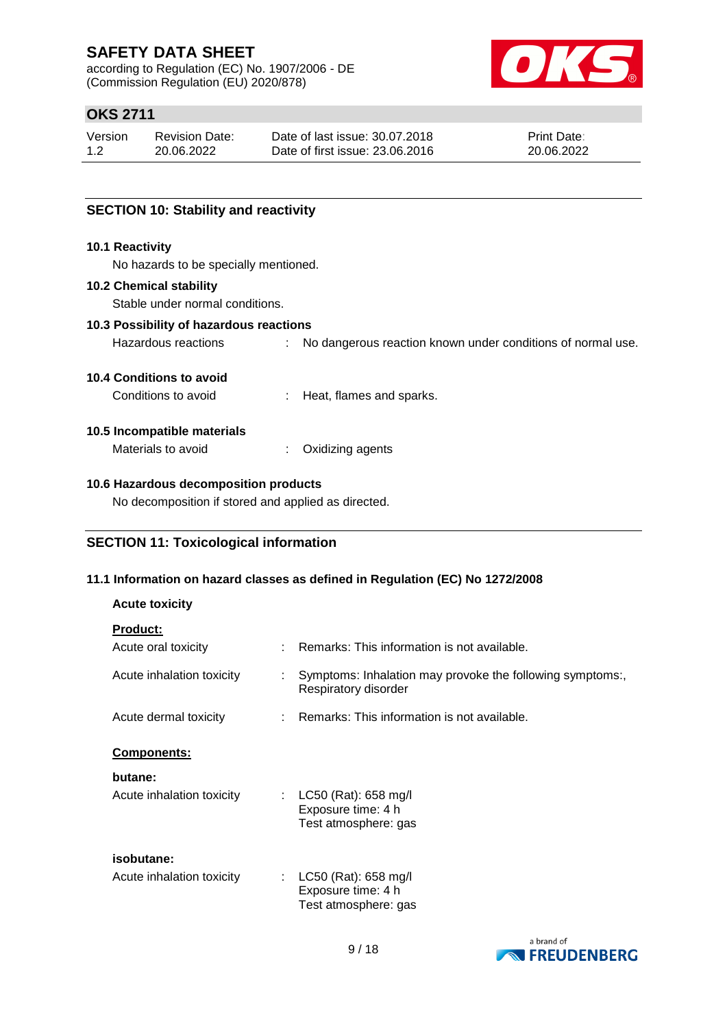according to Regulation (EC) No. 1907/2006 - DE (Commission Regulation (EU) 2020/878)



# **OKS 2711**

| Version | <b>Revision Date:</b> | Date of last issue: 30.07.2018  | <b>Print Date:</b> |
|---------|-----------------------|---------------------------------|--------------------|
| 1.2     | 20.06.2022            | Date of first issue: 23,06,2016 | 20.06.2022         |

### **SECTION 10: Stability and reactivity**

#### **10.1 Reactivity**

No hazards to be specially mentioned.

#### **10.2 Chemical stability**

Stable under normal conditions.

## **10.3 Possibility of hazardous reactions**

Hazardous reactions : No dangerous reaction known under conditions of normal use.

#### **10.4 Conditions to avoid**

Conditions to avoid : Heat, flames and sparks.

#### **10.5 Incompatible materials**

Materials to avoid : Oxidizing agents

#### **10.6 Hazardous decomposition products**

No decomposition if stored and applied as directed.

### **SECTION 11: Toxicological information**

#### **11.1 Information on hazard classes as defined in Regulation (EC) No 1272/2008**

#### **Acute toxicity**

| <b>Product:</b>                                         |                                                                                   |
|---------------------------------------------------------|-----------------------------------------------------------------------------------|
| Acute oral toxicity                                     | Remarks: This information is not available.                                       |
| Acute inhalation toxicity                               | Symptoms: Inhalation may provoke the following symptoms:,<br>Respiratory disorder |
| Acute dermal toxicity                                   | Remarks: This information is not available.                                       |
| <b>Components:</b>                                      |                                                                                   |
| butane:                                                 |                                                                                   |
| Acute inhalation toxicity                               | : $LC50$ (Rat): 658 mg/l<br>Exposure time: 4 h<br>Test atmosphere: gas            |
| isobutane:                                              |                                                                                   |
| Acute inhalation toxicity<br>$\mathcal{L}^{\text{max}}$ | $LC50$ (Rat): 658 mg/l<br>Exposure time: 4 h<br>Test atmosphere: gas              |

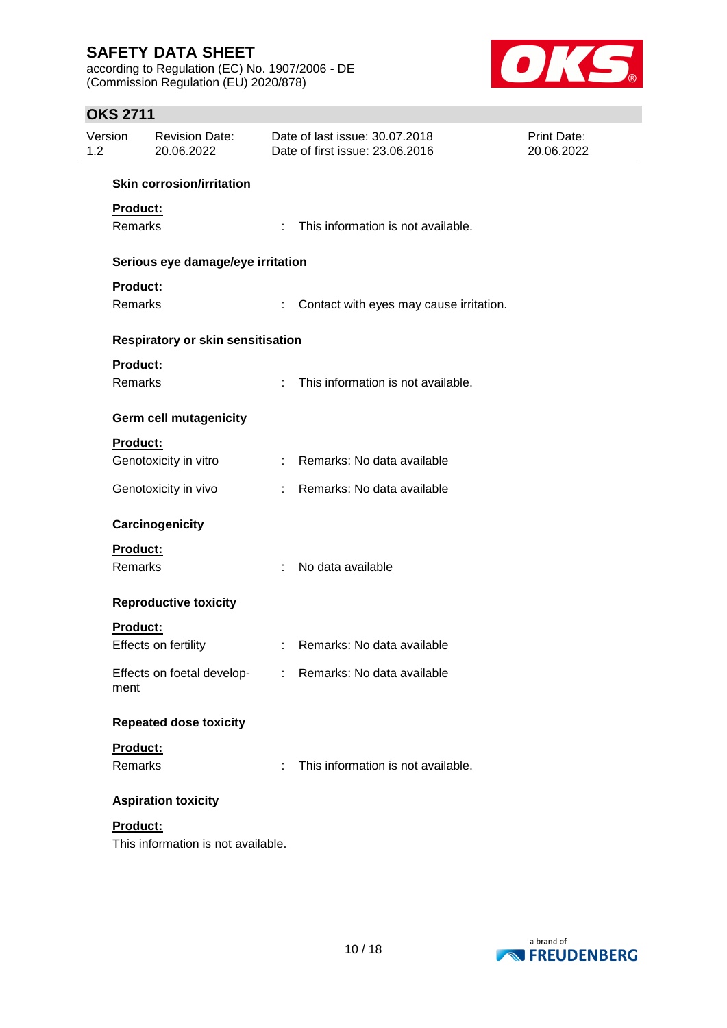according to Regulation (EC) No. 1907/2006 - DE (Commission Regulation (EU) 2020/878)



# **OKS 2711**

| Version<br>1.2 | <b>Revision Date:</b><br>20.06.2022 |    | Date of last issue: 30.07.2018<br>Date of first issue: 23.06.2016 | Print Date:<br>20.06.2022 |
|----------------|-------------------------------------|----|-------------------------------------------------------------------|---------------------------|
|                | <b>Skin corrosion/irritation</b>    |    |                                                                   |                           |
| Product:       |                                     |    |                                                                   |                           |
| Remarks        |                                     | ÷  | This information is not available.                                |                           |
|                | Serious eye damage/eye irritation   |    |                                                                   |                           |
| Product:       |                                     |    |                                                                   |                           |
| Remarks        |                                     | ÷  | Contact with eyes may cause irritation.                           |                           |
|                | Respiratory or skin sensitisation   |    |                                                                   |                           |
| Product:       |                                     |    |                                                                   |                           |
| Remarks        |                                     | ÷  | This information is not available.                                |                           |
|                | <b>Germ cell mutagenicity</b>       |    |                                                                   |                           |
| Product:       |                                     |    |                                                                   |                           |
|                | Genotoxicity in vitro               | ÷. | Remarks: No data available                                        |                           |
|                | Genotoxicity in vivo                | ÷  | Remarks: No data available                                        |                           |
|                | Carcinogenicity                     |    |                                                                   |                           |
| Product:       |                                     |    |                                                                   |                           |
| Remarks        |                                     | ÷  | No data available                                                 |                           |
|                | <b>Reproductive toxicity</b>        |    |                                                                   |                           |
| Product:       |                                     |    |                                                                   |                           |
|                | Effects on fertility                |    | : Remarks: No data available                                      |                           |
| ment           |                                     |    | Effects on foetal develop- : Remarks: No data available           |                           |
|                | <b>Repeated dose toxicity</b>       |    |                                                                   |                           |
| Product:       |                                     |    |                                                                   |                           |
| Remarks        |                                     | ÷  | This information is not available.                                |                           |
|                | <b>Aspiration toxicity</b>          |    |                                                                   |                           |
| Product:       |                                     |    |                                                                   |                           |
|                | This information is not available.  |    |                                                                   |                           |

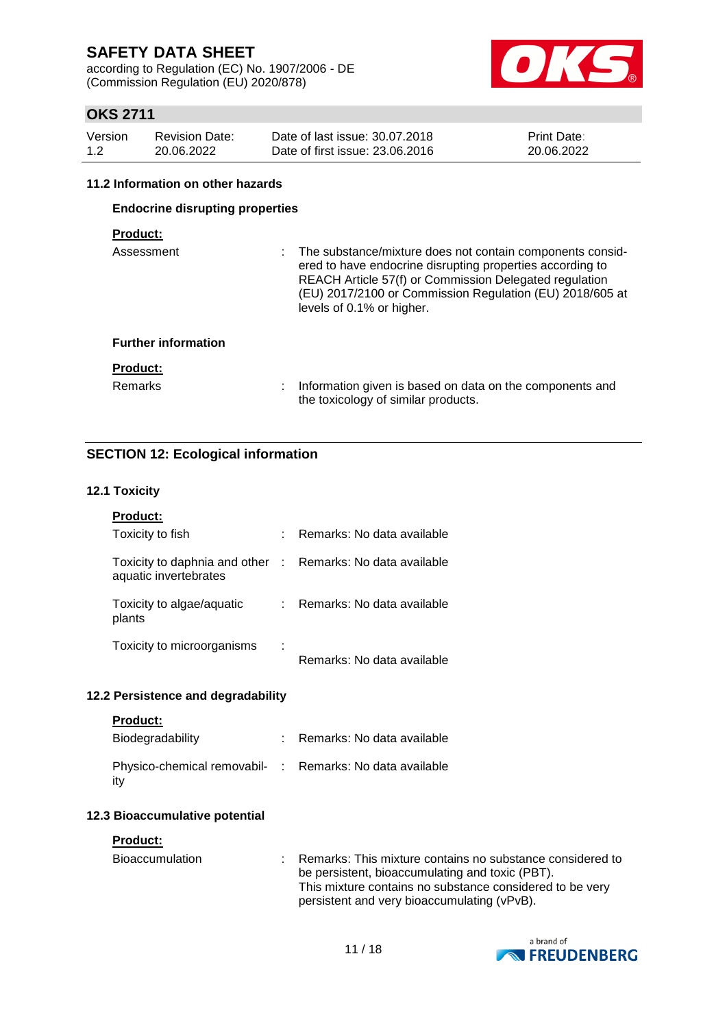according to Regulation (EC) No. 1907/2006 - DE (Commission Regulation (EU) 2020/878)



# **OKS 2711**

| Version | <b>Revision Date:</b> | Date of last issue: 30.07.2018  | <b>Print Date:</b> |
|---------|-----------------------|---------------------------------|--------------------|
| 1.2     | 20.06.2022            | Date of first issue: 23,06,2016 | 20.06.2022         |

#### **11.2 Information on other hazards**

### **Endocrine disrupting properties**

# **Product:**

| Assessment                 |    | : The substance/mixture does not contain components consid-<br>ered to have endocrine disrupting properties according to<br>REACH Article 57(f) or Commission Delegated regulation<br>(EU) 2017/2100 or Commission Regulation (EU) 2018/605 at<br>levels of 0.1% or higher. |
|----------------------------|----|-----------------------------------------------------------------------------------------------------------------------------------------------------------------------------------------------------------------------------------------------------------------------------|
| <b>Further information</b> |    |                                                                                                                                                                                                                                                                             |
| <b>Product:</b>            |    |                                                                                                                                                                                                                                                                             |
| <b>Remarks</b>             | ÷. | Information given is based on data on the components and<br>the toxicology of similar products.                                                                                                                                                                             |

# **SECTION 12: Ecological information**

#### **12.1 Toxicity**

| <b>Product:</b>                                                                     |                            |
|-------------------------------------------------------------------------------------|----------------------------|
| Toxicity to fish                                                                    | Remarks: No data available |
| Toxicity to daphnia and other : Remarks: No data available<br>aquatic invertebrates |                            |
| Toxicity to algae/aquatic<br>plants                                                 | Remarks: No data available |
| Toxicity to microorganisms                                                          | Remarks: No data available |

#### **12.2 Persistence and degradability**

|  | Product: |  |
|--|----------|--|
|  |          |  |

| Biodegradability                                                | : Remarks: No data available |
|-----------------------------------------------------------------|------------------------------|
| Physico-chemical removabil- : Remarks: No data available<br>ity |                              |

#### **12.3 Bioaccumulative potential**

#### **Product:**

| Bioaccumulation | : Remarks: This mixture contains no substance considered to |
|-----------------|-------------------------------------------------------------|
|                 | be persistent, bioaccumulating and toxic (PBT).             |
|                 | This mixture contains no substance considered to be very    |
|                 | persistent and very bioaccumulating (vPvB).                 |

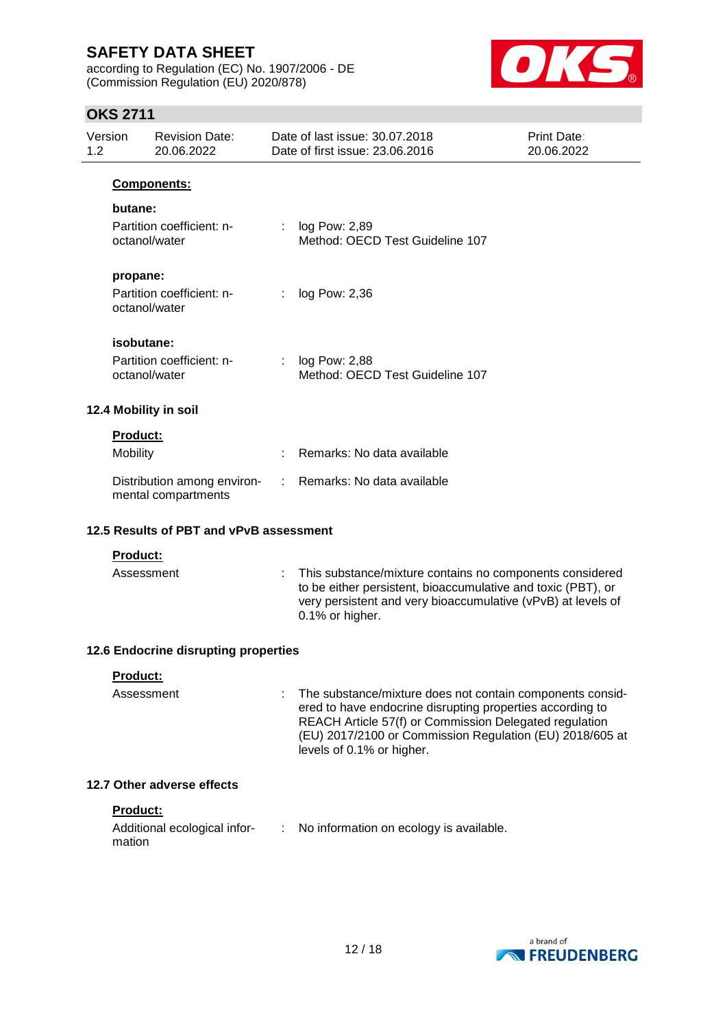according to Regulation (EC) No. 1907/2006 - DE (Commission Regulation (EU) 2020/878)



# **OKS 2711**

| Version<br><b>Revision Date:</b><br>20.06.2022<br>1.2 |            |                                                    | Date of last issue: 30.07.2018<br>Date of first issue: 23.06.2016 | Print Date:<br>20.06.2022                                                                                                                                                                                                                                                 |  |
|-------------------------------------------------------|------------|----------------------------------------------------|-------------------------------------------------------------------|---------------------------------------------------------------------------------------------------------------------------------------------------------------------------------------------------------------------------------------------------------------------------|--|
|                                                       |            | Components:                                        |                                                                   |                                                                                                                                                                                                                                                                           |  |
|                                                       | butane:    |                                                    |                                                                   |                                                                                                                                                                                                                                                                           |  |
|                                                       |            | Partition coefficient: n-<br>octanol/water         |                                                                   | log Pow: 2,89<br>Method: OECD Test Guideline 107                                                                                                                                                                                                                          |  |
|                                                       | propane:   |                                                    |                                                                   |                                                                                                                                                                                                                                                                           |  |
|                                                       |            | Partition coefficient: n-<br>octanol/water         |                                                                   | log Pow: 2,36                                                                                                                                                                                                                                                             |  |
|                                                       | isobutane: |                                                    |                                                                   |                                                                                                                                                                                                                                                                           |  |
|                                                       |            | Partition coefficient: n-<br>octanol/water         |                                                                   | log Pow: 2,88<br>Method: OECD Test Guideline 107                                                                                                                                                                                                                          |  |
|                                                       |            | 12.4 Mobility in soil                              |                                                                   |                                                                                                                                                                                                                                                                           |  |
|                                                       | Product:   |                                                    |                                                                   |                                                                                                                                                                                                                                                                           |  |
|                                                       | Mobility   |                                                    |                                                                   | Remarks: No data available                                                                                                                                                                                                                                                |  |
|                                                       |            | Distribution among environ-<br>mental compartments | ÷.                                                                | Remarks: No data available                                                                                                                                                                                                                                                |  |
| 12.5 Results of PBT and vPvB assessment               |            |                                                    |                                                                   |                                                                                                                                                                                                                                                                           |  |
| Product:                                              |            |                                                    |                                                                   |                                                                                                                                                                                                                                                                           |  |
|                                                       | Assessment |                                                    |                                                                   | This substance/mixture contains no components considered<br>to be either persistent, bioaccumulative and toxic (PBT), or<br>very persistent and very bioaccumulative (vPvB) at levels of<br>0.1% or higher.                                                               |  |
|                                                       |            | 12.6 Endocrine disrupting properties               |                                                                   |                                                                                                                                                                                                                                                                           |  |
|                                                       | Product:   |                                                    |                                                                   |                                                                                                                                                                                                                                                                           |  |
|                                                       | Assessment |                                                    |                                                                   | The substance/mixture does not contain components consid-<br>ered to have endocrine disrupting properties according to<br>REACH Article 57(f) or Commission Delegated regulation<br>(EU) 2017/2100 or Commission Regulation (EU) 2018/605 at<br>levels of 0.1% or higher. |  |
|                                                       |            | 12.7 Other adverse effects                         |                                                                   |                                                                                                                                                                                                                                                                           |  |
|                                                       | Product:   |                                                    |                                                                   |                                                                                                                                                                                                                                                                           |  |
|                                                       | mation     | Additional ecological infor-                       |                                                                   | No information on ecology is available.                                                                                                                                                                                                                                   |  |

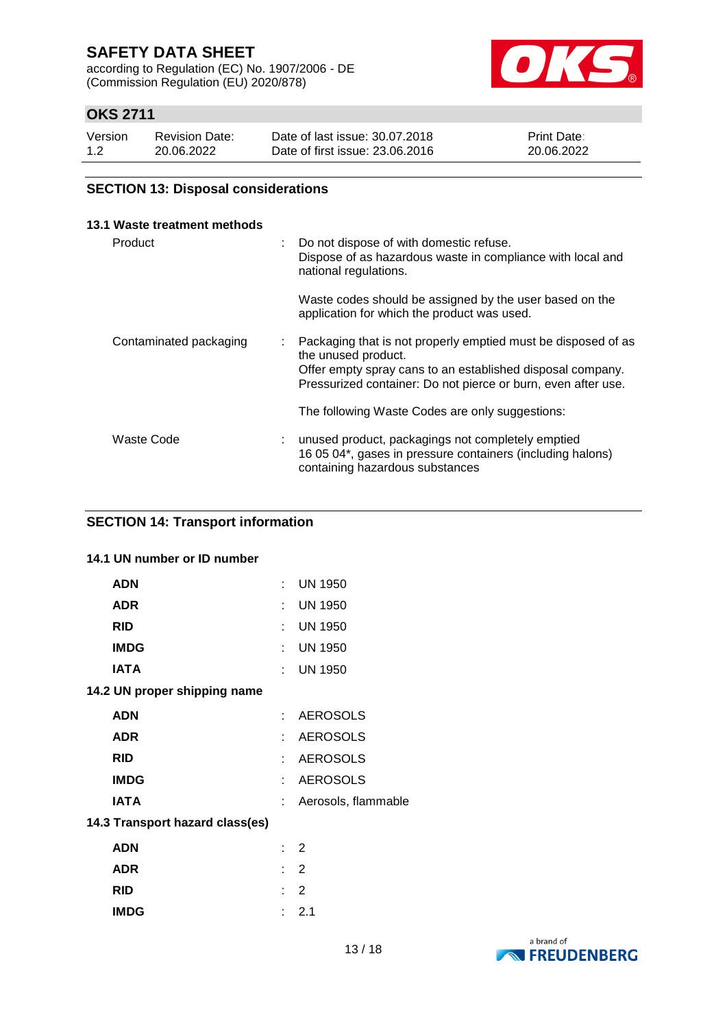according to Regulation (EC) No. 1907/2006 - DE (Commission Regulation (EU) 2020/878)



# **OKS 2711**

| Version | <b>Revision Date:</b> | Date of last issue: 30.07.2018  | <b>Print Date:</b> |
|---------|-----------------------|---------------------------------|--------------------|
| 1.2     | 20.06.2022            | Date of first issue: 23,06,2016 | 20.06.2022         |

### **SECTION 13: Disposal considerations**

| 13.1 Waste treatment methods |    |                                                                                                                                                                                                                     |
|------------------------------|----|---------------------------------------------------------------------------------------------------------------------------------------------------------------------------------------------------------------------|
| Product                      | ÷. | Do not dispose of with domestic refuse.<br>Dispose of as hazardous waste in compliance with local and<br>national regulations.                                                                                      |
|                              |    | Waste codes should be assigned by the user based on the<br>application for which the product was used.                                                                                                              |
| Contaminated packaging       |    | Packaging that is not properly emptied must be disposed of as<br>the unused product.<br>Offer empty spray cans to an established disposal company.<br>Pressurized container: Do not pierce or burn, even after use. |
|                              |    | The following Waste Codes are only suggestions:                                                                                                                                                                     |
| Waste Code                   |    | unused product, packagings not completely emptied<br>16 05 04*, gases in pressure containers (including halons)<br>containing hazardous substances                                                                  |

### **SECTION 14: Transport information**

### **14.1 UN number or ID number**

| <b>ADN</b>  |                                 | $\mathbf{r}_{\mathrm{max}}$ | <b>UN 1950</b>      |
|-------------|---------------------------------|-----------------------------|---------------------|
| <b>ADR</b>  |                                 | t.                          | <b>UN 1950</b>      |
| <b>RID</b>  |                                 | t.                          | <b>UN 1950</b>      |
| <b>IMDG</b> |                                 |                             | : UN 1950           |
| IATA        |                                 | t.                          | <b>UN 1950</b>      |
|             | 14.2 UN proper shipping name    |                             |                     |
| ADN         |                                 | t.                          | <b>AEROSOLS</b>     |
| <b>ADR</b>  |                                 | t.                          | <b>AEROSOLS</b>     |
| <b>RID</b>  |                                 | t.                          | <b>AEROSOLS</b>     |
| <b>IMDG</b> |                                 | t.                          | <b>AEROSOLS</b>     |
| <b>IATA</b> |                                 | t.                          | Aerosols, flammable |
|             | 14.3 Transport hazard class(es) |                             |                     |
| <b>ADN</b>  |                                 |                             | $\therefore$ 2      |
| ADR         |                                 | t.                          | 2                   |
| <b>RID</b>  |                                 |                             | 2                   |
| <b>IMDG</b> |                                 | t.                          | 2.1                 |

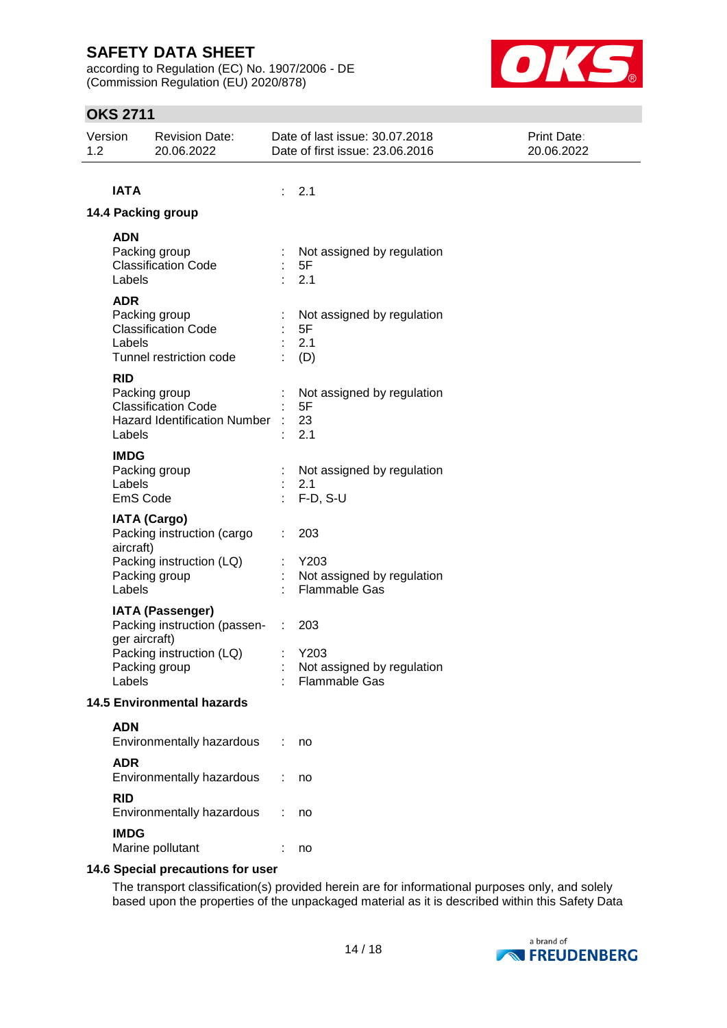according to Regulation (EC) No. 1907/2006 - DE (Commission Regulation (EU) 2020/878)



# **OKS 2711**

| Version<br>1.2 | <b>Revision Date:</b><br>20.06.2022                                                                                             |       | Date of last issue: 30.07.2018<br>Date of first issue: 23.06.2016 | <b>Print Date:</b><br>20.06.2022 |
|----------------|---------------------------------------------------------------------------------------------------------------------------------|-------|-------------------------------------------------------------------|----------------------------------|
| <b>IATA</b>    |                                                                                                                                 | : 2.1 |                                                                   |                                  |
|                | 14.4 Packing group                                                                                                              |       |                                                                   |                                  |
| <b>ADN</b>     | Packing group<br><b>Classification Code</b><br>Labels                                                                           |       | Not assigned by regulation<br>5F<br>2.1                           |                                  |
| <b>ADR</b>     | Packing group<br><b>Classification Code</b><br>Labels<br>Tunnel restriction code                                                |       | Not assigned by regulation<br>5F<br>2.1<br>(D)                    |                                  |
| <b>RID</b>     | Packing group<br><b>Classification Code</b><br><b>Hazard Identification Number</b><br>Labels                                    |       | Not assigned by regulation<br>5F<br>23<br>2.1                     |                                  |
|                | <b>IMDG</b><br>Packing group<br>Labels<br>EmS Code                                                                              |       | Not assigned by regulation<br>2.1<br>$F-D, S-U$                   |                                  |
|                | <b>IATA (Cargo)</b><br>Packing instruction (cargo<br>aircraft)<br>Packing instruction (LQ)<br>Packing group<br>Labels           |       | 203<br>Y203<br>Not assigned by regulation<br><b>Flammable Gas</b> |                                  |
|                | <b>IATA (Passenger)</b><br>Packing instruction (passen-<br>ger aircraft)<br>Packing instruction (LQ)<br>Packing group<br>Labels | ÷.    | 203<br>Y203<br>Not assigned by regulation<br>Flammable Gas        |                                  |
|                | <b>14.5 Environmental hazards</b>                                                                                               |       |                                                                   |                                  |
| <b>ADN</b>     | Environmentally hazardous                                                                                                       |       | no                                                                |                                  |
| <b>ADR</b>     | Environmentally hazardous                                                                                                       |       | no                                                                |                                  |
| <b>RID</b>     | Environmentally hazardous                                                                                                       |       | no                                                                |                                  |
|                | <b>IMDG</b><br>Marine pollutant                                                                                                 |       | no                                                                |                                  |
|                | 14.6 Special precautions for user                                                                                               |       |                                                                   |                                  |

The transport classification(s) provided herein are for informational purposes only, and solely based upon the properties of the unpackaged material as it is described within this Safety Data

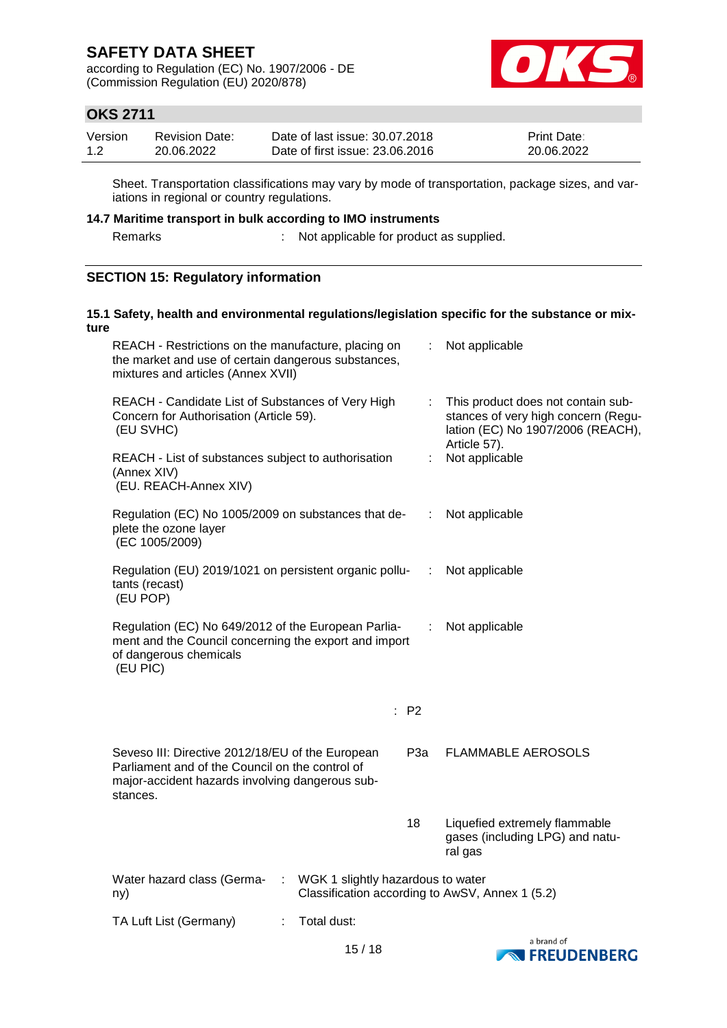according to Regulation (EC) No. 1907/2006 - DE (Commission Regulation (EU) 2020/878)



# **OKS 2711**

| Version | Revision Date: | Date of last issue: 30.07.2018  | <b>Print Date:</b> |
|---------|----------------|---------------------------------|--------------------|
| 1.2     | 20.06.2022     | Date of first issue: 23,06,2016 | 20.06.2022         |

Sheet. Transportation classifications may vary by mode of transportation, package sizes, and variations in regional or country regulations.

# **14.7 Maritime transport in bulk according to IMO instruments**

Remarks : Not applicable for product as supplied.

### **SECTION 15: Regulatory information**

| ture | 15.1 Safety, health and environmental regulations/legislation specific for the substance or mix-                                                                   |                            |                                                                                                                                |
|------|--------------------------------------------------------------------------------------------------------------------------------------------------------------------|----------------------------|--------------------------------------------------------------------------------------------------------------------------------|
|      | REACH - Restrictions on the manufacture, placing on<br>the market and use of certain dangerous substances,<br>mixtures and articles (Annex XVII)                   | ÷                          | Not applicable                                                                                                                 |
|      | REACH - Candidate List of Substances of Very High<br>Concern for Authorisation (Article 59).<br>(EU SVHC)                                                          | ÷                          | This product does not contain sub-<br>stances of very high concern (Regu-<br>lation (EC) No 1907/2006 (REACH),<br>Article 57). |
|      | REACH - List of substances subject to authorisation<br>(Annex XIV)<br>(EU. REACH-Annex XIV)                                                                        |                            | Not applicable                                                                                                                 |
|      | Regulation (EC) No 1005/2009 on substances that de-<br>plete the ozone layer<br>(EC 1005/2009)                                                                     | ÷                          | Not applicable                                                                                                                 |
|      | Regulation (EU) 2019/1021 on persistent organic pollu-<br>tants (recast)<br>(EU POP)                                                                               | $\mathcal{L}^{\text{max}}$ | Not applicable                                                                                                                 |
|      | Regulation (EC) No 649/2012 of the European Parlia-<br>ment and the Council concerning the export and import<br>of dangerous chemicals<br>(EU PIC)                 | ÷                          | Not applicable                                                                                                                 |
|      |                                                                                                                                                                    | : P2                       |                                                                                                                                |
|      | Seveso III: Directive 2012/18/EU of the European<br>Parliament and of the Council on the control of<br>major-accident hazards involving dangerous sub-<br>stances. | РЗа                        | <b>FLAMMABLE AEROSOLS</b>                                                                                                      |
|      |                                                                                                                                                                    | 18                         | Liquefied extremely flammable<br>gases (including LPG) and natu-<br>ral gas                                                    |
|      | WGK 1 slightly hazardous to water<br>Water hazard class (Germa-<br>÷<br>ny)                                                                                        |                            | Classification according to AwSV, Annex 1 (5.2)                                                                                |
|      | Total dust:<br>TA Luft List (Germany)<br>÷                                                                                                                         |                            |                                                                                                                                |

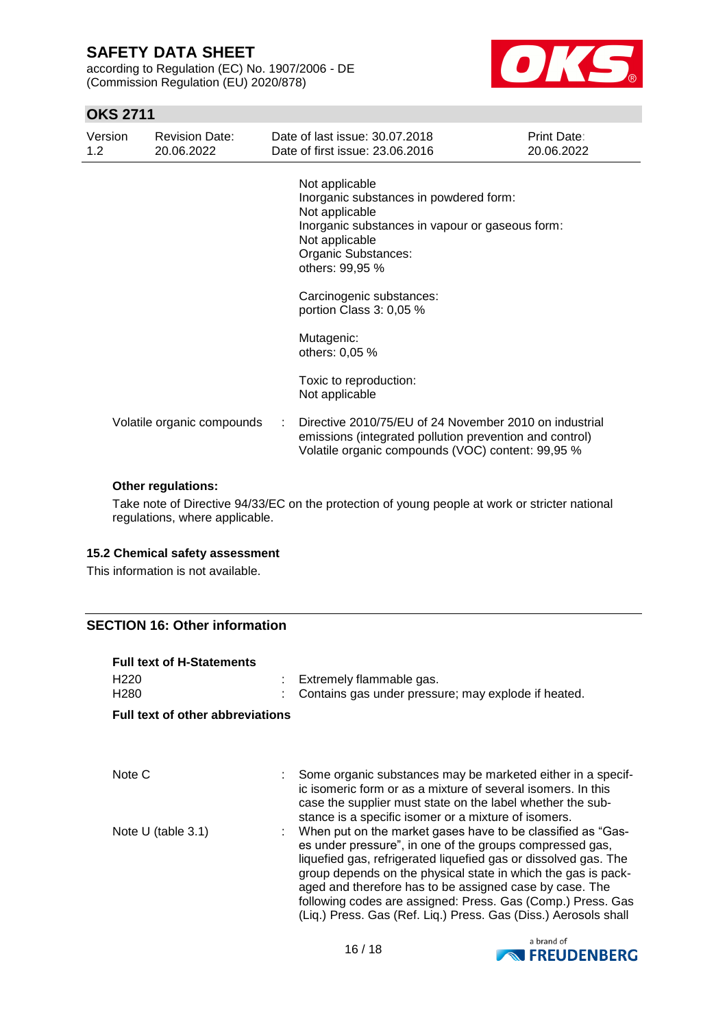according to Regulation (EC) No. 1907/2006 - DE (Commission Regulation (EU) 2020/878)



# **OKS 2711**

| Version<br>$1.2^{\circ}$ | <b>Revision Date:</b><br>20.06.2022 | Date of last issue: 30.07.2018<br>Date of first issue: 23,06,2016                                                                                                                         | Print Date:<br>20.06.2022 |
|--------------------------|-------------------------------------|-------------------------------------------------------------------------------------------------------------------------------------------------------------------------------------------|---------------------------|
|                          |                                     | Not applicable<br>Inorganic substances in powdered form:<br>Not applicable<br>Inorganic substances in vapour or gaseous form:<br>Not applicable<br>Organic Substances:<br>others: 99,95 % |                           |
|                          |                                     | Carcinogenic substances:<br>portion Class 3: 0,05 %                                                                                                                                       |                           |
|                          |                                     | Mutagenic:<br>others: 0,05 %                                                                                                                                                              |                           |
|                          |                                     | Toxic to reproduction:<br>Not applicable                                                                                                                                                  |                           |
|                          | Volatile organic compounds          | Directive 2010/75/EU of 24 November 2010 on industrial<br>emissions (integrated pollution prevention and control)<br>Volatile organic compounds (VOC) content: 99,95 %                    |                           |

#### **Other regulations:**

Take note of Directive 94/33/EC on the protection of young people at work or stricter national regulations, where applicable.

#### **15.2 Chemical safety assessment**

This information is not available.

### **SECTION 16: Other information**

| <b>Full text of H-Statements</b>        |                                                                                                                                                                                                                                                                                                                                                                                                                                                          |
|-----------------------------------------|----------------------------------------------------------------------------------------------------------------------------------------------------------------------------------------------------------------------------------------------------------------------------------------------------------------------------------------------------------------------------------------------------------------------------------------------------------|
| H <sub>220</sub><br>H <sub>280</sub>    | Extremely flammable gas.<br>Contains gas under pressure; may explode if heated.                                                                                                                                                                                                                                                                                                                                                                          |
| <b>Full text of other abbreviations</b> |                                                                                                                                                                                                                                                                                                                                                                                                                                                          |
| Note C                                  | Some organic substances may be marketed either in a specif-<br>ic isomeric form or as a mixture of several isomers. In this<br>case the supplier must state on the label whether the sub-<br>stance is a specific isomer or a mixture of isomers.                                                                                                                                                                                                        |
| Note $U$ (table 3.1)                    | When put on the market gases have to be classified as "Gas-<br>es under pressure", in one of the groups compressed gas,<br>liquefied gas, refrigerated liquefied gas or dissolved gas. The<br>group depends on the physical state in which the gas is pack-<br>aged and therefore has to be assigned case by case. The<br>following codes are assigned: Press. Gas (Comp.) Press. Gas<br>(Liq.) Press. Gas (Ref. Liq.) Press. Gas (Diss.) Aerosols shall |

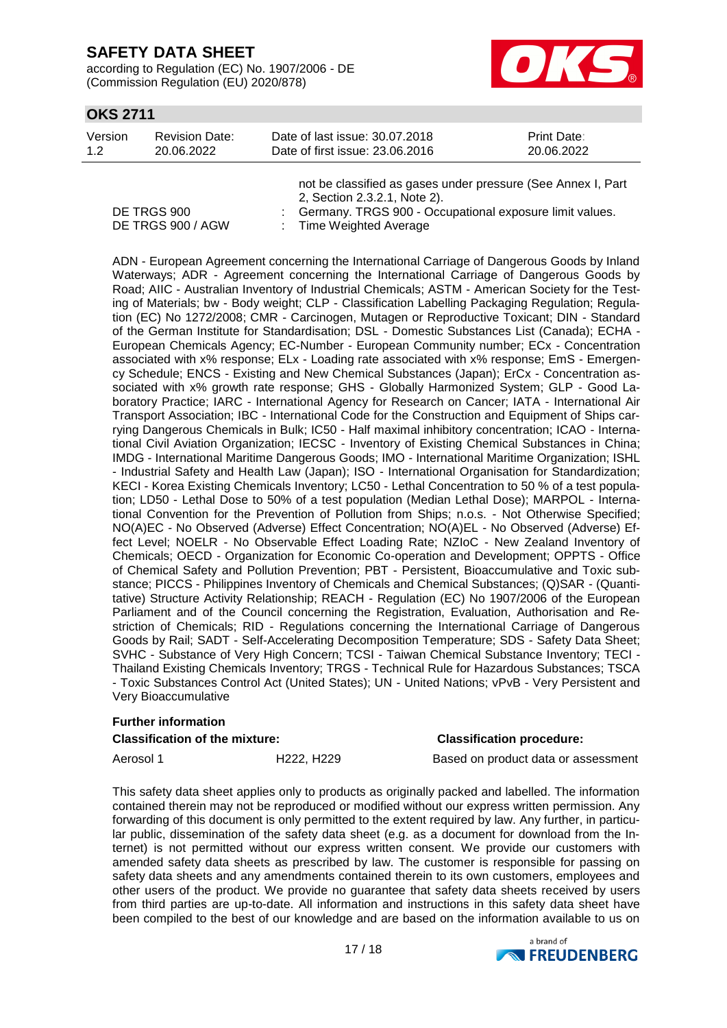according to Regulation (EC) No. 1907/2006 - DE (Commission Regulation (EU) 2020/878)



### **OKS 2711**

| Version | <b>Revision Date:</b> | Date of last issue: 30.07.2018  | <b>Print Date:</b> |
|---------|-----------------------|---------------------------------|--------------------|
| 1.2     | 20.06.2022            | Date of first issue: 23,06,2016 | 20.06.2022         |

|                   | not be classified as gases under pressure (See Annex I, Part |
|-------------------|--------------------------------------------------------------|
|                   | 2, Section 2.3.2.1, Note 2).                                 |
| DE TRGS 900       | Germany. TRGS 900 - Occupational exposure limit values.      |
| DE TRGS 900 / AGW | : Time Weighted Average                                      |

ADN - European Agreement concerning the International Carriage of Dangerous Goods by Inland Waterways; ADR - Agreement concerning the International Carriage of Dangerous Goods by Road; AIIC - Australian Inventory of Industrial Chemicals; ASTM - American Society for the Testing of Materials; bw - Body weight; CLP - Classification Labelling Packaging Regulation; Regulation (EC) No 1272/2008; CMR - Carcinogen, Mutagen or Reproductive Toxicant; DIN - Standard of the German Institute for Standardisation; DSL - Domestic Substances List (Canada); ECHA - European Chemicals Agency; EC-Number - European Community number; ECx - Concentration associated with x% response; ELx - Loading rate associated with x% response; EmS - Emergency Schedule; ENCS - Existing and New Chemical Substances (Japan); ErCx - Concentration associated with x% growth rate response; GHS - Globally Harmonized System; GLP - Good Laboratory Practice; IARC - International Agency for Research on Cancer; IATA - International Air Transport Association; IBC - International Code for the Construction and Equipment of Ships carrying Dangerous Chemicals in Bulk; IC50 - Half maximal inhibitory concentration; ICAO - International Civil Aviation Organization; IECSC - Inventory of Existing Chemical Substances in China; IMDG - International Maritime Dangerous Goods; IMO - International Maritime Organization; ISHL - Industrial Safety and Health Law (Japan); ISO - International Organisation for Standardization; KECI - Korea Existing Chemicals Inventory; LC50 - Lethal Concentration to 50 % of a test population; LD50 - Lethal Dose to 50% of a test population (Median Lethal Dose); MARPOL - International Convention for the Prevention of Pollution from Ships; n.o.s. - Not Otherwise Specified; NO(A)EC - No Observed (Adverse) Effect Concentration; NO(A)EL - No Observed (Adverse) Effect Level; NOELR - No Observable Effect Loading Rate; NZIoC - New Zealand Inventory of Chemicals; OECD - Organization for Economic Co-operation and Development; OPPTS - Office of Chemical Safety and Pollution Prevention; PBT - Persistent, Bioaccumulative and Toxic substance; PICCS - Philippines Inventory of Chemicals and Chemical Substances; (Q)SAR - (Quantitative) Structure Activity Relationship; REACH - Regulation (EC) No 1907/2006 of the European Parliament and of the Council concerning the Registration, Evaluation, Authorisation and Restriction of Chemicals; RID - Regulations concerning the International Carriage of Dangerous Goods by Rail; SADT - Self-Accelerating Decomposition Temperature; SDS - Safety Data Sheet; SVHC - Substance of Very High Concern; TCSI - Taiwan Chemical Substance Inventory; TECI - Thailand Existing Chemicals Inventory; TRGS - Technical Rule for Hazardous Substances; TSCA - Toxic Substances Control Act (United States); UN - United Nations; vPvB - Very Persistent and Very Bioaccumulative

# **Further information**

### **Classification of the mixture: Classification procedure:**

Aerosol 1 **H222, H229** Based on product data or assessment

This safety data sheet applies only to products as originally packed and labelled. The information contained therein may not be reproduced or modified without our express written permission. Any forwarding of this document is only permitted to the extent required by law. Any further, in particular public, dissemination of the safety data sheet (e.g. as a document for download from the Internet) is not permitted without our express written consent. We provide our customers with amended safety data sheets as prescribed by law. The customer is responsible for passing on safety data sheets and any amendments contained therein to its own customers, employees and other users of the product. We provide no guarantee that safety data sheets received by users from third parties are up-to-date. All information and instructions in this safety data sheet have been compiled to the best of our knowledge and are based on the information available to us on